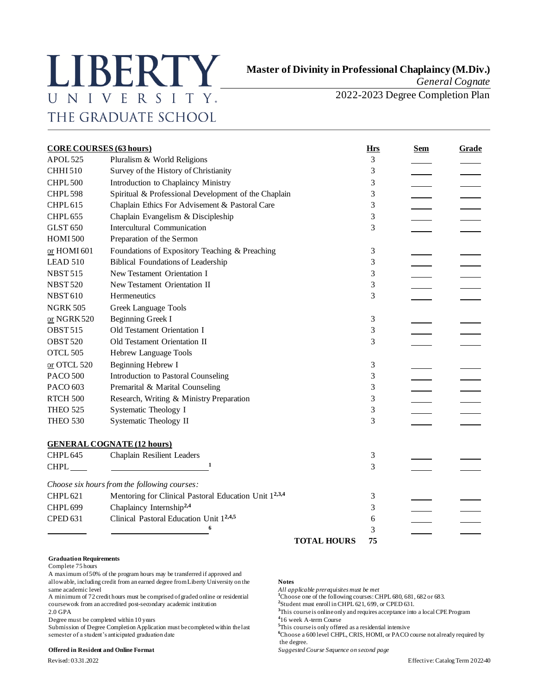# **LIBERTY** UNIVERSITY. THE GRADUATE SCHOOL

2022-2023 Degree Completion Plan

| <b>CORE COURSES (63 hours)</b> |                                                       | <b>Hrs</b>     | <b>Sem</b> | Grade                            |
|--------------------------------|-------------------------------------------------------|----------------|------------|----------------------------------|
| APOL525                        | Pluralism & World Religions                           | 3              |            |                                  |
| <b>CHHI510</b>                 | Survey of the History of Christianity                 | 3              |            |                                  |
| <b>CHPL 500</b>                | Introduction to Chaplaincy Ministry                   | 3              |            |                                  |
| <b>CHPL 598</b>                | Spiritual & Professional Development of the Chaplain  | 3              |            |                                  |
| <b>CHPL615</b>                 | Chaplain Ethics For Advisement & Pastoral Care        | 3              |            |                                  |
| CHPL <sub>655</sub>            | Chaplain Evangelism & Discipleship                    | 3              |            |                                  |
| <b>GLST 650</b>                | Intercultural Communication                           | 3              |            |                                  |
| <b>HOMI500</b>                 | Preparation of the Sermon                             |                |            |                                  |
| or HOMI 601                    | Foundations of Expository Teaching & Preaching        | 3              |            |                                  |
| <b>LEAD 510</b>                | <b>Biblical Foundations of Leadership</b>             | 3              |            |                                  |
| <b>NBST515</b>                 | New Testament Orientation I                           | 3              |            | $\frac{1}{\sqrt{1-\frac{1}{2}}}$ |
| <b>NBST520</b>                 | New Testament Orientation II                          | 3              |            |                                  |
| <b>NBST610</b>                 | Hermeneutics                                          | 3              |            |                                  |
| <b>NGRK 505</b>                | <b>Greek Language Tools</b>                           |                |            |                                  |
| or NGRK 520                    | <b>Beginning Greek I</b>                              | 3              |            |                                  |
| OBST515                        | Old Testament Orientation I                           | 3              |            |                                  |
| OBST520                        | Old Testament Orientation II                          | 3              |            |                                  |
| OTCL 505                       | Hebrew Language Tools                                 |                |            |                                  |
| or OTCL 520                    | Beginning Hebrew I                                    | 3              |            |                                  |
| <b>PACO 500</b>                | Introduction to Pastoral Counseling                   | 3              |            |                                  |
| PACO 603                       | Premarital & Marital Counseling                       | $\mathfrak{Z}$ |            | $\frac{1}{\sqrt{1-\frac{1}{2}}}$ |
| <b>RTCH 500</b>                | Research, Writing & Ministry Preparation              | 3              |            |                                  |
| <b>THEO 525</b>                | Systematic Theology I                                 | 3              |            |                                  |
| <b>THEO 530</b>                | <b>Systematic Theology II</b>                         | 3              |            |                                  |
|                                |                                                       |                |            |                                  |
|                                | <b>GENERAL COGNATE (12 hours)</b>                     |                |            |                                  |
| CHPL 645                       | Chaplain Resilient Leaders                            | 3              |            |                                  |
| $CHPL$ <sub>___</sub>          | $\mathbf{1}$                                          | 3              |            |                                  |
|                                |                                                       |                |            |                                  |
|                                | Choose six hours from the following courses:          |                |            |                                  |
| <b>CHPL621</b>                 | Mentoring for Clinical Pastoral Education Unit 12,3,4 | 3              |            |                                  |
| CHPL <sub>699</sub>            | Chaplaincy Internship <sup>2,4</sup>                  | 3              |            |                                  |
| <b>CPED 631</b>                | Clinical Pastoral Education Unit 1 <sup>2,4,5</sup>   | 6              |            |                                  |
|                                | 6                                                     | 3              |            |                                  |
|                                | <b>TOTAL HOURS</b>                                    | 75             |            |                                  |

### **Graduation Requirements**

Complete 75 hours

A maximum of 50% of the program hours may be transferred if approved and allowable, including credit from an earned degree from Liberty University on the **Notes**

same academic level<br> *All applicable prerequisites must be met*<br> *A* minimum of 72 credit hours must be comprised of graded online or residential<br>
<sup>1</sup>Choose one of the following courses: CHPL 680, 681, 682 or 683. A minimum of 72 credit hours must be comprised of graded online or residential coursework from an accredited post-secondary academic institution **<sup>2</sup>**

Degree must be completed within 10 years **<sup>4</sup>**

Submission of Degree Completion Application must be completed within the last <sup>5</sup>This course is only offered as a residential intensive semester of a student's anticipated graduation date <sup>6</sup>Choose a 600 level CHPL, CRIS,

#### **Offered in Resident and Online Format** *Suggested Course Sequence on second page*

<sup>2</sup>Student must enroll in CHPL 621, 699, or CPED 631.

<sup>3</sup>This course is online only and requires acceptance into a local CPE Program

16 week A-term Course

<sup>6</sup>Choose a 600 level CHPL, CRIS, HOMI, or PACO course not already required by the degree.